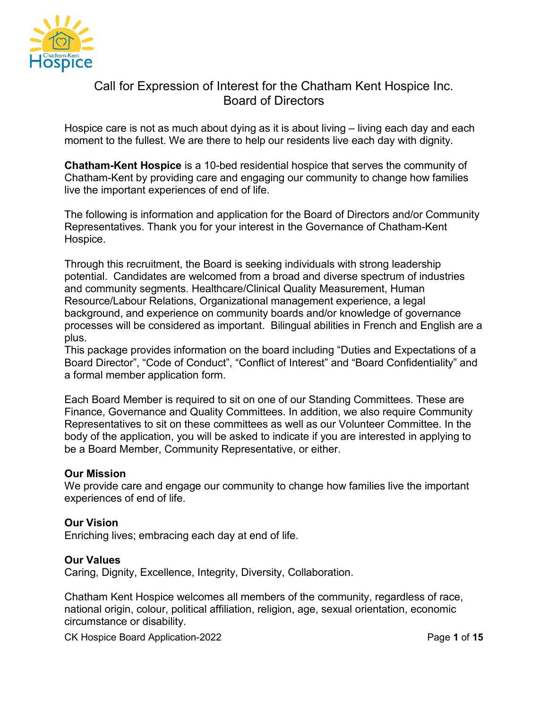

# Call for Expression of Interest for the Chatham Kent Hospice Inc. Board of Directors

Hospice care is not as much about dying as it is about living – living each day and each moment to the fullest. We are there to help our residents live each day with dignity.

**Chatham-Kent Hospice** is a 10-bed residential hospice that serves the community of Chatham-Kent by providing care and engaging our community to change how families live the important experiences of end of life.

The following is information and application for the Board of Directors and/or Community Representatives. Thank you for your interest in the Governance of Chatham-Kent Hospice.

Through this recruitment, the Board is seeking individuals with strong leadership potential. Candidates are welcomed from a broad and diverse spectrum of industries and community segments. Healthcare/Clinical Quality Measurement, Human Resource/Labour Relations, Organizational management experience, a legal background, and experience on community boards and/or knowledge of governance processes will be considered as important. Bilingual abilities in French and English are a plus.

This package provides information on the board including "Duties and Expectations of a Board Director", "Code of Conduct", "Conflict of Interest" and "Board Confidentiality" and a formal member application form.

Each Board Member is required to sit on one of our Standing Committees. These are Finance, Governance and Quality Committees. In addition, we also require Community Representatives to sit on these committees as well as our Volunteer Committee. In the body of the application, you will be asked to indicate if you are interested in applying to be a Board Member, Community Representative, or either.

#### **Our Mission**

We provide care and engage our community to change how families live the important experiences of end of life.

#### **Our Vision**

Enriching lives; embracing each day at end of life.

#### **Our Values**

Caring, Dignity, Excellence, Integrity, Diversity, Collaboration.

Chatham Kent Hospice welcomes all members of the community, regardless of race, national origin, colour, political affiliation, religion, age, sexual orientation, economic circumstance or disability.

CK Hospice Board Application-2022 Page **1** of **15**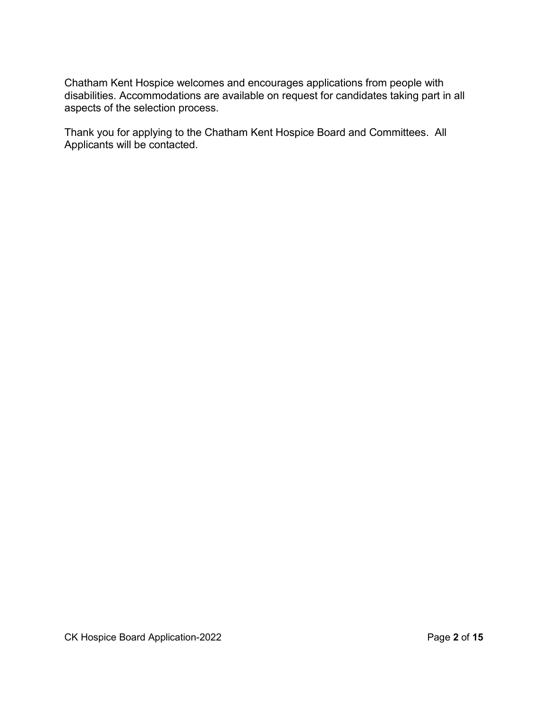Chatham Kent Hospice welcomes and encourages applications from people with disabilities. Accommodations are available on request for candidates taking part in all aspects of the selection process.

Thank you for applying to the Chatham Kent Hospice Board and Committees. All Applicants will be contacted.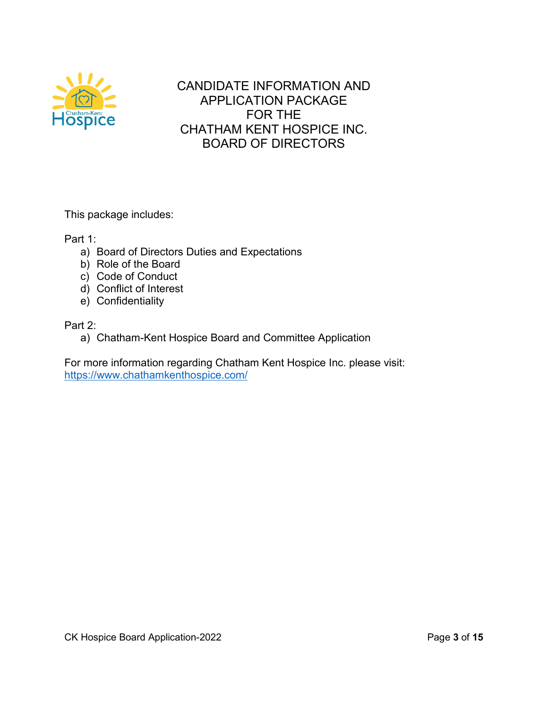

CANDIDATE INFORMATION AND APPLICATION PACKAGE FOR THE CHATHAM KENT HOSPICE INC. BOARD OF DIRECTORS

This package includes:

Part 1:

- a) Board of Directors Duties and Expectations
- b) Role of the Board
- c) Code of Conduct
- d) Conflict of Interest
- e) Confidentiality

Part 2:

a) Chatham-Kent Hospice Board and Committee Application

For more information regarding Chatham Kent Hospice Inc. please visit: <https://www.chathamkenthospice.com/>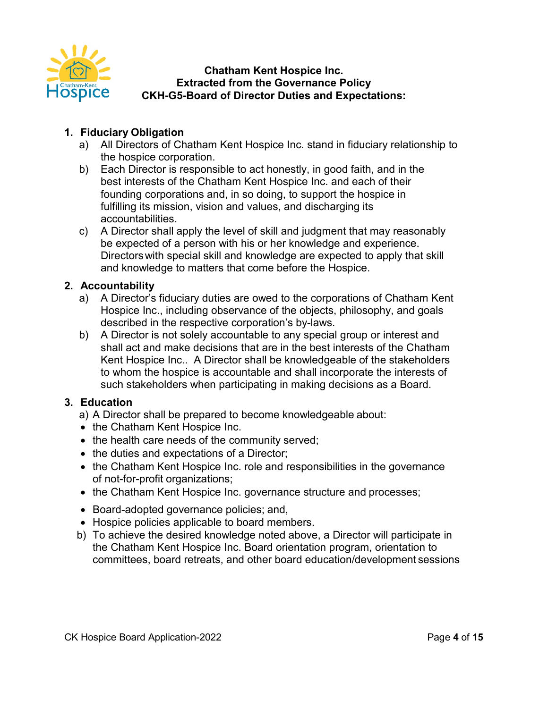

### **Chatham Kent Hospice Inc. Extracted from the Governance Policy CKH-G5-Board of Director Duties and Expectations:**

# **1. Fiduciary Obligation**

- a) All Directors of Chatham Kent Hospice Inc. stand in fiduciary relationship to the hospice corporation.
- b) Each Director is responsible to act honestly, in good faith, and in the best interests of the Chatham Kent Hospice Inc. and each of their founding corporations and, in so doing, to support the hospice in fulfilling its mission, vision and values, and discharging its accountabilities.
- c) A Director shall apply the level of skill and judgment that may reasonably be expected of a person with his or her knowledge and experience. Directorswith special skill and knowledge are expected to apply that skill and knowledge to matters that come before the Hospice.

### **2. Accountability**

- a) A Director's fiduciary duties are owed to the corporations of Chatham Kent Hospice Inc., including observance of the objects, philosophy, and goals described in the respective corporation's by-laws.
- b) A Director is not solely accountable to any special group or interest and shall act and make decisions that are in the best interests of the Chatham Kent Hospice Inc.. A Director shall be knowledgeable of the stakeholders to whom the hospice is accountable and shall incorporate the interests of such stakeholders when participating in making decisions as a Board.

# **3. Education**

a) A Director shall be prepared to become knowledgeable about:

- the Chatham Kent Hospice Inc.
- the health care needs of the community served;
- the duties and expectations of a Director;
- the Chatham Kent Hospice Inc. role and responsibilities in the governance of not-for-profit organizations;
- the Chatham Kent Hospice Inc. governance structure and processes;
- Board-adopted governance policies; and,
- Hospice policies applicable to board members.
- b) To achieve the desired knowledge noted above, a Director will participate in the Chatham Kent Hospice Inc. Board orientation program, orientation to committees, board retreats, and other board education/development sessions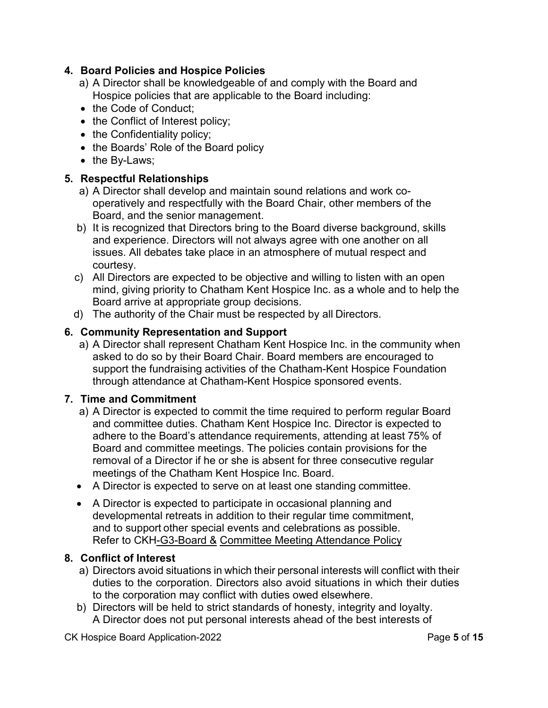# **4. Board Policies and Hospice Policies**

- a) A Director shall be knowledgeable of and comply with the Board and Hospice policies that are applicable to the Board including:
- the Code of Conduct;
- the Conflict of Interest policy;
- the Confidentiality policy;
- the Boards' Role of the Board policy
- the By-Laws;

### **5. Respectful Relationships**

- a) A Director shall develop and maintain sound relations and work cooperatively and respectfully with the Board Chair, other members of the Board, and the senior management.
- b) It is recognized that Directors bring to the Board diverse background, skills and experience. Directors will not always agree with one another on all issues. All debates take place in an atmosphere of mutual respect and courtesy.
- c) All Directors are expected to be objective and willing to listen with an open mind, giving priority to Chatham Kent Hospice Inc. as a whole and to help the Board arrive at appropriate group decisions.
- d) The authority of the Chair must be respected by all Directors.

# **6. Community Representation and Support**

a) A Director shall represent Chatham Kent Hospice Inc. in the community when asked to do so by their Board Chair. Board members are encouraged to support the fundraising activities of the Chatham-Kent Hospice Foundation through attendance at Chatham-Kent Hospice sponsored events.

### **7. Time and Commitment**

- a) A Director is expected to commit the time required to perform regular Board and committee duties. Chatham Kent Hospice Inc. Director is expected to adhere to the Board's attendance requirements, attending at least 75% of Board and committee meetings. The policies contain provisions for the removal of a Director if he or she is absent for three consecutive regular meetings of the Chatham Kent Hospice Inc. Board.
- A Director is expected to serve on at least one standing committee.
- A Director is expected to participate in occasional planning and developmental retreats in addition to their regular time commitment, and to support other special events and celebrations as possible. Refer to CKH-G3-Board & Committee Meeting Attendance Policy

### **8. Conflict of Interest**

- a) Directors avoid situations in which their personal interests will conflict with their duties to the corporation. Directors also avoid situations in which their duties to the corporation may conflict with duties owed elsewhere.
- b) Directors will be held to strict standards of honesty, integrity and loyalty. A Director does not put personal interests ahead of the best interests of

CK Hospice Board Application-2022 Page **5** of **15**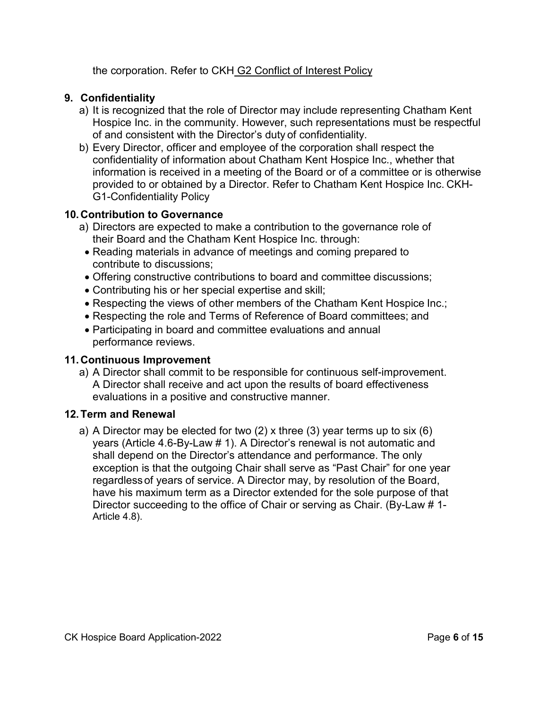the corporation. Refer to CKH G2 Conflict of Interest Policy

## **9. Confidentiality**

- a) It is recognized that the role of Director may include representing Chatham Kent Hospice Inc. in the community. However, such representations must be respectful of and consistent with the Director's duty of confidentiality.
- b) Every Director, officer and employee of the corporation shall respect the confidentiality of information about Chatham Kent Hospice Inc., whether that information is received in a meeting of the Board or of a committee or is otherwise provided to or obtained by a Director. Refer to Chatham Kent Hospice Inc. CKH-G1-Confidentiality Policy

### **10. Contribution to Governance**

- a) Directors are expected to make a contribution to the governance role of their Board and the Chatham Kent Hospice Inc. through:
- Reading materials in advance of meetings and coming prepared to contribute to discussions;
- Offering constructive contributions to board and committee discussions;
- Contributing his or her special expertise and skill;
- Respecting the views of other members of the Chatham Kent Hospice Inc.;
- Respecting the role and Terms of Reference of Board committees; and
- Participating in board and committee evaluations and annual performance reviews.

## **11. Continuous Improvement**

a) A Director shall commit to be responsible for continuous self-improvement. A Director shall receive and act upon the results of board effectiveness evaluations in a positive and constructive manner.

### **12.Term and Renewal**

a) A Director may be elected for two (2) x three (3) year terms up to six (6) years (Article 4.6-By-Law # 1). A Director's renewal is not automatic and shall depend on the Director's attendance and performance. The only exception is that the outgoing Chair shall serve as "Past Chair" for one year regardless of years of service. A Director may, by resolution of the Board, have his maximum term as a Director extended for the sole purpose of that Director succeeding to the office of Chair or serving as Chair. (By-Law # 1- Article 4.8).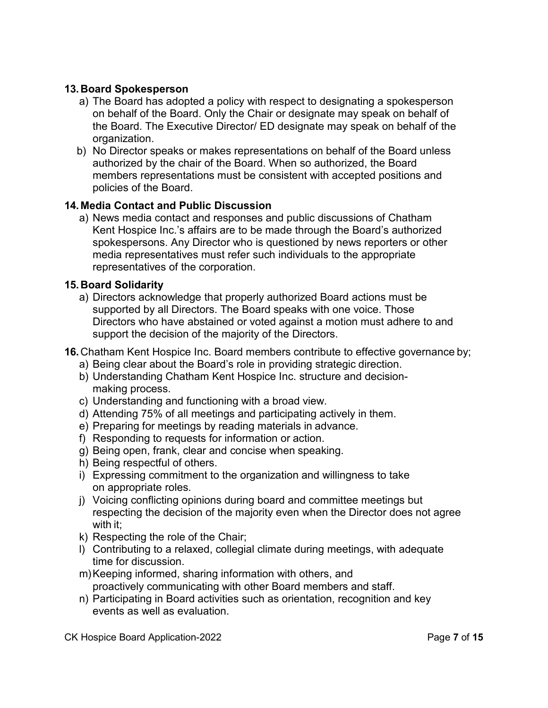## **13. Board Spokesperson**

- a) The Board has adopted a policy with respect to designating a spokesperson on behalf of the Board. Only the Chair or designate may speak on behalf of the Board. The Executive Director/ ED designate may speak on behalf of the organization.
- b) No Director speaks or makes representations on behalf of the Board unless authorized by the chair of the Board. When so authorized, the Board members representations must be consistent with accepted positions and policies of the Board.

### **14. Media Contact and Public Discussion**

a) News media contact and responses and public discussions of Chatham Kent Hospice Inc.'s affairs are to be made through the Board's authorized spokespersons. Any Director who is questioned by news reporters or other media representatives must refer such individuals to the appropriate representatives of the corporation.

### **15. Board Solidarity**

a) Directors acknowledge that properly authorized Board actions must be supported by all Directors. The Board speaks with one voice. Those Directors who have abstained or voted against a motion must adhere to and support the decision of the majority of the Directors.

### **16.** Chatham Kent Hospice Inc. Board members contribute to effective governance by;

- a) Being clear about the Board's role in providing strategic direction.
- b) Understanding Chatham Kent Hospice Inc. structure and decisionmaking process.
- c) Understanding and functioning with a broad view.
- d) Attending 75% of all meetings and participating actively in them.
- e) Preparing for meetings by reading materials in advance.
- f) Responding to requests for information or action.
- g) Being open, frank, clear and concise when speaking.
- h) Being respectful of others.
- i) Expressing commitment to the organization and willingness to take on appropriate roles.
- j) Voicing conflicting opinions during board and committee meetings but respecting the decision of the majority even when the Director does not agree with it;
- k) Respecting the role of the Chair;
- l) Contributing to a relaxed, collegial climate during meetings, with adequate time for discussion.
- m)Keeping informed, sharing information with others, and proactively communicating with other Board members and staff.
- n) Participating in Board activities such as orientation, recognition and key events as well as evaluation.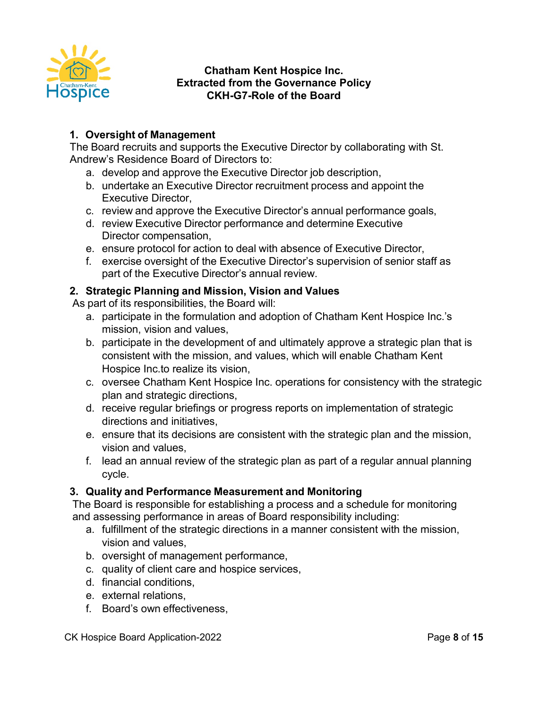

### **Chatham Kent Hospice Inc. Extracted from the Governance Policy CKH-G7-Role of the Board**

# **1. Oversight of Management**

The Board recruits and supports the Executive Director by collaborating with St. Andrew's Residence Board of Directors to:

- a. develop and approve the Executive Director job description,
- b. undertake an Executive Director recruitment process and appoint the Executive Director,
- c. review and approve the Executive Director's annual performance goals,
- d. review Executive Director performance and determine Executive Director compensation,
- e. ensure protocol for action to deal with absence of Executive Director,
- f. exercise oversight of the Executive Director's supervision of senior staff as part of the Executive Director's annual review.

### **2. Strategic Planning and Mission, Vision and Values**

As part of its responsibilities, the Board will:

- a. participate in the formulation and adoption of Chatham Kent Hospice Inc.'s mission, vision and values,
- b. participate in the development of and ultimately approve a strategic plan that is consistent with the mission, and values, which will enable Chatham Kent Hospice Inc.to realize its vision,
- c. oversee Chatham Kent Hospice Inc. operations for consistency with the strategic plan and strategic directions,
- d. receive regular briefings or progress reports on implementation of strategic directions and initiatives,
- e. ensure that its decisions are consistent with the strategic plan and the mission, vision and values,
- f. lead an annual review of the strategic plan as part of a regular annual planning cycle.

# **3. Quality and Performance Measurement and Monitoring**

The Board is responsible for establishing a process and a schedule for monitoring and assessing performance in areas of Board responsibility including:

- a. fulfillment of the strategic directions in a manner consistent with the mission, vision and values,
- b. oversight of management performance,
- c. quality of client care and hospice services,
- d. financial conditions,
- e. external relations,
- f. Board's own effectiveness,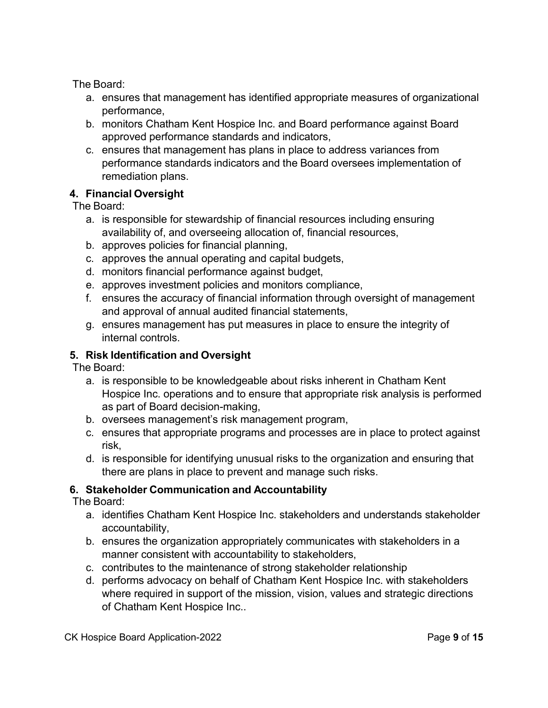The Board:

- a. ensures that management has identified appropriate measures of organizational performance,
- b. monitors Chatham Kent Hospice Inc. and Board performance against Board approved performance standards and indicators,
- c. ensures that management has plans in place to address variances from performance standards indicators and the Board oversees implementation of remediation plans.

# **4. Financial Oversight**

The Board:

- a. is responsible for stewardship of financial resources including ensuring availability of, and overseeing allocation of, financial resources,
- b. approves policies for financial planning,
- c. approves the annual operating and capital budgets,
- d. monitors financial performance against budget,
- e. approves investment policies and monitors compliance,
- f. ensures the accuracy of financial information through oversight of management and approval of annual audited financial statements,
- g. ensures management has put measures in place to ensure the integrity of internal controls.

# **5. Risk Identification and Oversight**

The Board:

- a. is responsible to be knowledgeable about risks inherent in Chatham Kent Hospice Inc. operations and to ensure that appropriate risk analysis is performed as part of Board decision-making,
- b. oversees management's risk management program,
- c. ensures that appropriate programs and processes are in place to protect against risk,
- d. is responsible for identifying unusual risks to the organization and ensuring that there are plans in place to prevent and manage such risks.

# **6. Stakeholder Communication and Accountability**

The Board:

- a. identifies Chatham Kent Hospice Inc. stakeholders and understands stakeholder accountability,
- b. ensures the organization appropriately communicates with stakeholders in a manner consistent with accountability to stakeholders,
- c. contributes to the maintenance of strong stakeholder relationship
- d. performs advocacy on behalf of Chatham Kent Hospice Inc. with stakeholders where required in support of the mission, vision, values and strategic directions of Chatham Kent Hospice Inc..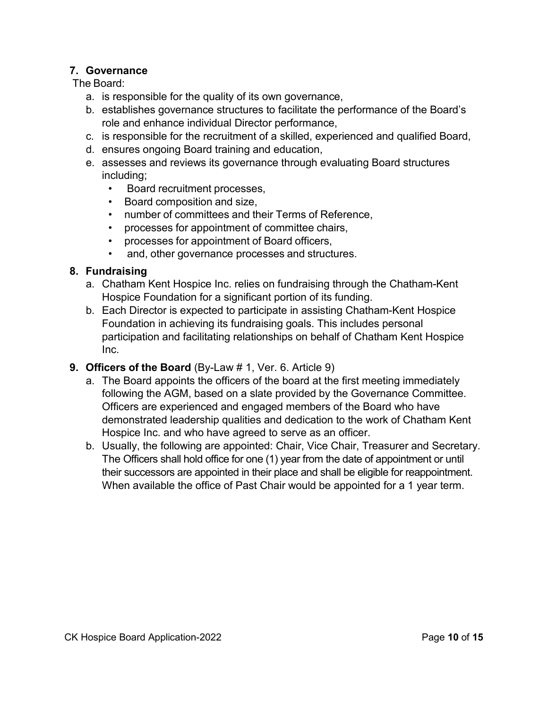### **7. Governance**

The Board:

- a. is responsible for the quality of its own governance,
- b. establishes governance structures to facilitate the performance of the Board's role and enhance individual Director performance,
- c. is responsible for the recruitment of a skilled, experienced and qualified Board,
- d. ensures ongoing Board training and education,
- e. assesses and reviews its governance through evaluating Board structures including;
	- Board recruitment processes,
	- Board composition and size,
	- number of committees and their Terms of Reference,
	- processes for appointment of committee chairs,
	- processes for appointment of Board officers,
	- and, other governance processes and structures.

### **8. Fundraising**

- a. Chatham Kent Hospice Inc. relies on fundraising through the Chatham-Kent Hospice Foundation for a significant portion of its funding.
- b. Each Director is expected to participate in assisting Chatham-Kent Hospice Foundation in achieving its fundraising goals. This includes personal participation and facilitating relationships on behalf of Chatham Kent Hospice Inc.
- **9. Officers of the Board** (By-Law # 1, Ver. 6. Article 9)
	- a. The Board appoints the officers of the board at the first meeting immediately following the AGM, based on a slate provided by the Governance Committee. Officers are experienced and engaged members of the Board who have demonstrated leadership qualities and dedication to the work of Chatham Kent Hospice Inc. and who have agreed to serve as an officer.
	- b. Usually, the following are appointed: Chair, Vice Chair, Treasurer and Secretary. The Officers shall hold office for one (1) year from the date of appointment or until their successors are appointed in their place and shall be eligible for reappointment. When available the office of Past Chair would be appointed for a 1 year term.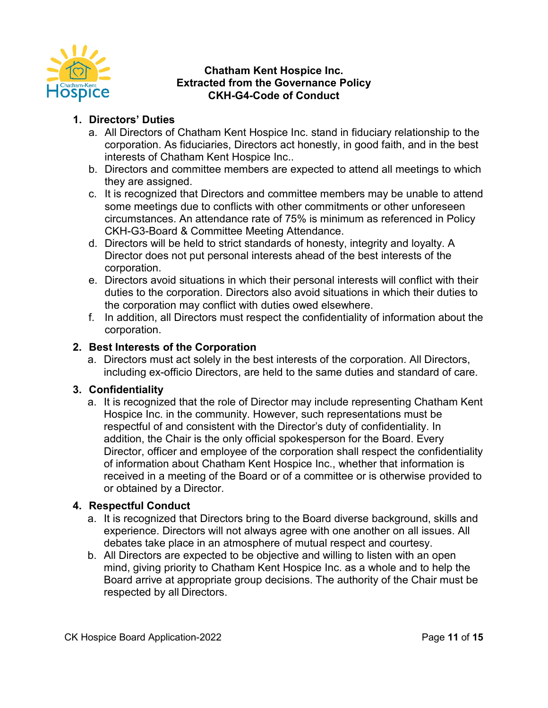

### **Chatham Kent Hospice Inc. Extracted from the Governance Policy CKH-G4-Code of Conduct**

## **1. Directors' Duties**

- a. All Directors of Chatham Kent Hospice Inc. stand in fiduciary relationship to the corporation. As fiduciaries, Directors act honestly, in good faith, and in the best interests of Chatham Kent Hospice Inc..
- b. Directors and committee members are expected to attend all meetings to which they are assigned.
- c. It is recognized that Directors and committee members may be unable to attend some meetings due to conflicts with other commitments or other unforeseen circumstances. An attendance rate of 75% is minimum as referenced in Policy CKH-G3-Board & Committee Meeting Attendance.
- d. Directors will be held to strict standards of honesty, integrity and loyalty. A Director does not put personal interests ahead of the best interests of the corporation.
- e. Directors avoid situations in which their personal interests will conflict with their duties to the corporation. Directors also avoid situations in which their duties to the corporation may conflict with duties owed elsewhere.
- f. In addition, all Directors must respect the confidentiality of information about the corporation.

### **2. Best Interests of the Corporation**

a. Directors must act solely in the best interests of the corporation. All Directors, including ex-officio Directors, are held to the same duties and standard of care.

### **3. Confidentiality**

a. It is recognized that the role of Director may include representing Chatham Kent Hospice Inc. in the community. However, such representations must be respectful of and consistent with the Director's duty of confidentiality. In addition, the Chair is the only official spokesperson for the Board. Every Director, officer and employee of the corporation shall respect the confidentiality of information about Chatham Kent Hospice Inc., whether that information is received in a meeting of the Board or of a committee or is otherwise provided to or obtained by a Director.

### **4. Respectful Conduct**

- a. It is recognized that Directors bring to the Board diverse background, skills and experience. Directors will not always agree with one another on all issues. All debates take place in an atmosphere of mutual respect and courtesy.
- b. All Directors are expected to be objective and willing to listen with an open mind, giving priority to Chatham Kent Hospice Inc. as a whole and to help the Board arrive at appropriate group decisions. The authority of the Chair must be respected by all Directors.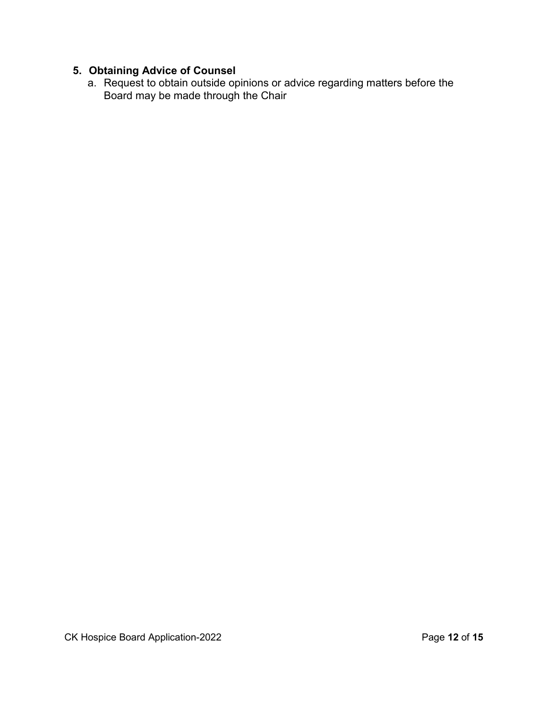# **5. Obtaining Advice of Counsel**

a. Request to obtain outside opinions or advice regarding matters before the Board may be made through the Chair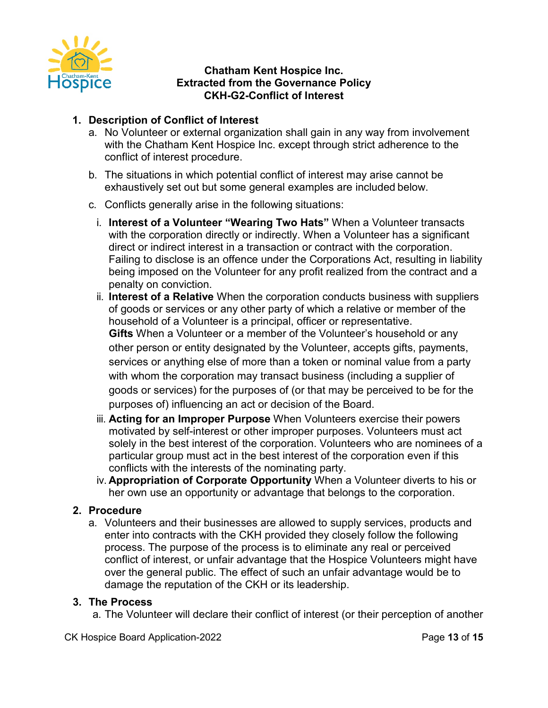

### **Chatham Kent Hospice Inc. Extracted from the Governance Policy CKH-G2-Conflict of Interest**

# **1. Description of Conflict of Interest**

- a. No Volunteer or external organization shall gain in any way from involvement with the Chatham Kent Hospice Inc. except through strict adherence to the conflict of interest procedure.
- b. The situations in which potential conflict of interest may arise cannot be exhaustively set out but some general examples are included below.
- c. Conflicts generally arise in the following situations:
	- i. **Interest of a Volunteer "Wearing Two Hats"** When a Volunteer transacts with the corporation directly or indirectly. When a Volunteer has a significant direct or indirect interest in a transaction or contract with the corporation. Failing to disclose is an offence under the Corporations Act, resulting in liability being imposed on the Volunteer for any profit realized from the contract and a penalty on conviction.
	- ii. **Interest of a Relative** When the corporation conducts business with suppliers of goods or services or any other party of which a relative or member of the household of a Volunteer is a principal, officer or representative. **Gifts** When a Volunteer or a member of the Volunteer's household or any other person or entity designated by the Volunteer, accepts gifts, payments, services or anything else of more than a token or nominal value from a party with whom the corporation may transact business (including a supplier of goods or services) for the purposes of (or that may be perceived to be for the purposes of) influencing an act or decision of the Board.
	- iii. **Acting for an Improper Purpose** When Volunteers exercise their powers motivated by self-interest or other improper purposes. Volunteers must act solely in the best interest of the corporation. Volunteers who are nominees of a particular group must act in the best interest of the corporation even if this conflicts with the interests of the nominating party.
	- iv. **Appropriation of Corporate Opportunity** When a Volunteer diverts to his or her own use an opportunity or advantage that belongs to the corporation.

# **2. Procedure**

a. Volunteers and their businesses are allowed to supply services, products and enter into contracts with the CKH provided they closely follow the following process. The purpose of the process is to eliminate any real or perceived conflict of interest, or unfair advantage that the Hospice Volunteers might have over the general public. The effect of such an unfair advantage would be to damage the reputation of the CKH or its leadership.

### **3. The Process**

a. The Volunteer will declare their conflict of interest (or their perception of another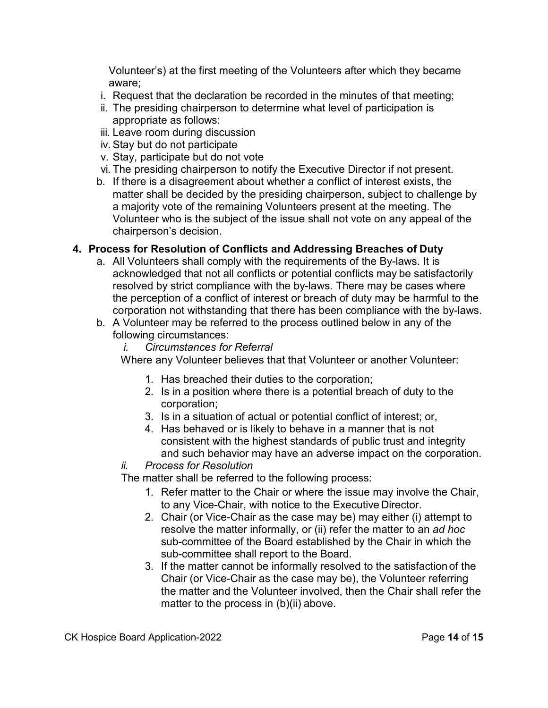Volunteer's) at the first meeting of the Volunteers after which they became aware;

- i. Request that the declaration be recorded in the minutes of that meeting;
- ii. The presiding chairperson to determine what level of participation is appropriate as follows:
- iii. Leave room during discussion
- iv. Stay but do not participate
- v. Stay, participate but do not vote
- vi. The presiding chairperson to notify the Executive Director if not present.
- b. If there is a disagreement about whether a conflict of interest exists, the matter shall be decided by the presiding chairperson, subject to challenge by a majority vote of the remaining Volunteers present at the meeting. The Volunteer who is the subject of the issue shall not vote on any appeal of the chairperson's decision.

### **4. Process for Resolution of Conflicts and Addressing Breaches of Duty**

- a. All Volunteers shall comply with the requirements of the By-laws. It is acknowledged that not all conflicts or potential conflicts may be satisfactorily resolved by strict compliance with the by-laws. There may be cases where the perception of a conflict of interest or breach of duty may be harmful to the corporation not withstanding that there has been compliance with the by-laws.
- b. A Volunteer may be referred to the process outlined below in any of the following circumstances:
	- *i. Circumstances for Referral*

Where any Volunteer believes that that Volunteer or another Volunteer:

- 1. Has breached their duties to the corporation;
- 2. Is in a position where there is a potential breach of duty to the corporation;
- 3. Is in a situation of actual or potential conflict of interest; or,
- 4. Has behaved or is likely to behave in a manner that is not consistent with the highest standards of public trust and integrity and such behavior may have an adverse impact on the corporation.

### *ii. Process for Resolution*

The matter shall be referred to the following process:

- 1. Refer matter to the Chair or where the issue may involve the Chair, to any Vice-Chair, with notice to the Executive Director.
- 2. Chair (or Vice-Chair as the case may be) may either (i) attempt to resolve the matter informally, or (ii) refer the matter to an *ad hoc*  sub-committee of the Board established by the Chair in which the sub-committee shall report to the Board.
- 3. If the matter cannot be informally resolved to the satisfaction of the Chair (or Vice-Chair as the case may be), the Volunteer referring the matter and the Volunteer involved, then the Chair shall refer the matter to the process in (b)(ii) above.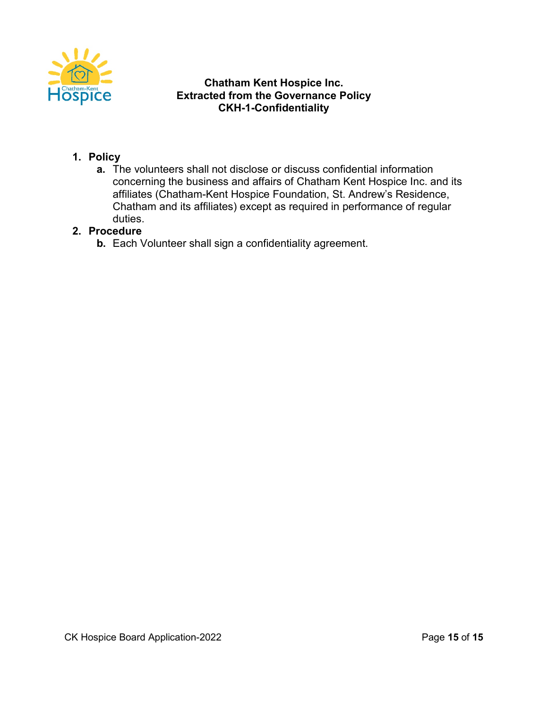

### **Chatham Kent Hospice Inc. Extracted from the Governance Policy CKH-1-Confidentiality**

# **1. Policy**

**a.** The volunteers shall not disclose or discuss confidential information concerning the business and affairs of Chatham Kent Hospice Inc. and its affiliates (Chatham-Kent Hospice Foundation, St. Andrew's Residence, Chatham and its affiliates) except as required in performance of regular duties.

### **2. Procedure**

**b.** Each Volunteer shall sign a confidentiality agreement.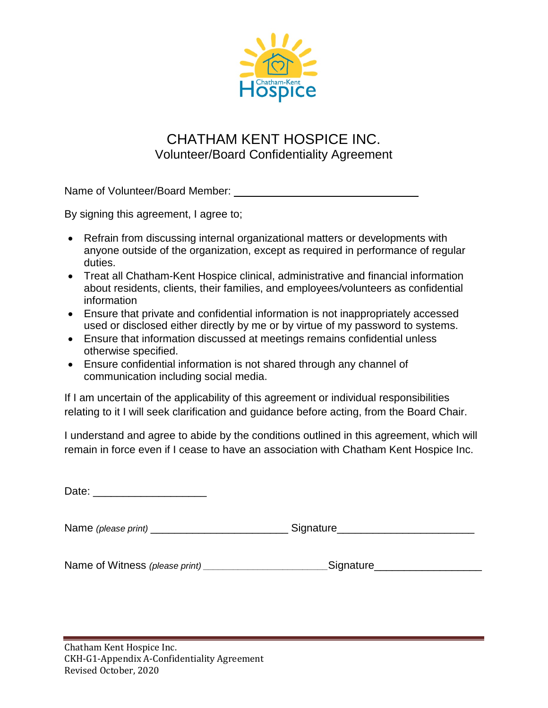

# CHATHAM KENT HOSPICE INC. Volunteer/Board Confidentiality Agreement

Name of Volunteer/Board Member:

By signing this agreement, I agree to;

- Refrain from discussing internal organizational matters or developments with anyone outside of the organization, except as required in performance of regular duties.
- Treat all Chatham-Kent Hospice clinical, administrative and financial information about residents, clients, their families, and employees/volunteers as confidential information
- Ensure that private and confidential information is not inappropriately accessed used or disclosed either directly by me or by virtue of my password to systems.
- Ensure that information discussed at meetings remains confidential unless otherwise specified.
- Ensure confidential information is not shared through any channel of communication including social media.

If I am uncertain of the applicability of this agreement or individual responsibilities relating to it I will seek clarification and guidance before acting, from the Board Chair.

I understand and agree to abide by the conditions outlined in this agreement, which will remain in force even if I cease to have an association with Chatham Kent Hospice Inc.

Date: \_\_\_\_\_\_\_\_\_\_\_\_\_\_\_\_\_\_\_

Name *(please print)* \_\_\_\_\_\_\_\_\_\_\_\_\_\_\_\_\_\_\_\_\_\_\_ Signature\_\_\_\_\_\_\_\_\_\_\_\_\_\_\_\_\_\_\_\_\_\_\_

Name of Witness *(please print) \_\_\_\_\_\_\_\_\_\_\_\_\_\_\_\_\_\_\_\_\_\_\_\_\_*Signature\_\_\_\_\_\_\_\_\_\_\_\_\_\_\_\_\_\_

Chatham Kent Hospice Inc. CKH-G1-Appendix A-Confidentiality Agreement Revised October, 2020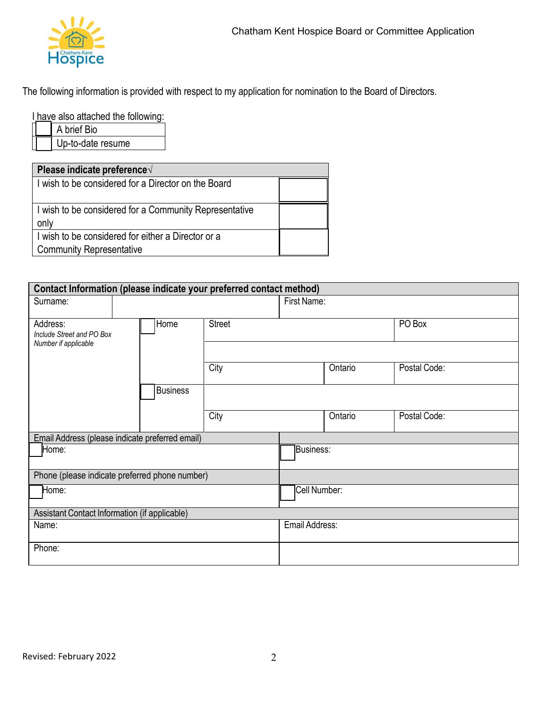

The following information is provided with respect to my application for nomination to the Board of Directors.

I have also attached the following:

A brief Bio Up-to-date resume

| Please indicate preference√                                                           |  |
|---------------------------------------------------------------------------------------|--|
| I wish to be considered for a Director on the Board                                   |  |
| I wish to be considered for a Community Representative<br>only                        |  |
| I wish to be considered for either a Director or a<br><b>Community Representative</b> |  |

| Contact Information (please indicate your preferred contact method) |                 |               |                  |         |              |
|---------------------------------------------------------------------|-----------------|---------------|------------------|---------|--------------|
| Surname:                                                            |                 |               | First Name:      |         |              |
| Address:<br>Include Street and PO Box<br>Number if applicable       | Home            | <b>Street</b> |                  |         | PO Box       |
|                                                                     |                 |               |                  |         |              |
|                                                                     |                 | City          |                  | Ontario | Postal Code: |
|                                                                     | <b>Business</b> |               |                  |         |              |
|                                                                     |                 | City          |                  | Ontario | Postal Code: |
| Email Address (please indicate preferred email)                     |                 |               |                  |         |              |
| Home:                                                               |                 |               | <b>Business:</b> |         |              |
| Phone (please indicate preferred phone number)                      |                 |               |                  |         |              |
| Home:                                                               |                 | Cell Number:  |                  |         |              |
| Assistant Contact Information (if applicable)                       |                 |               |                  |         |              |
| Name:                                                               |                 |               | Email Address:   |         |              |
| Phone:                                                              |                 |               |                  |         |              |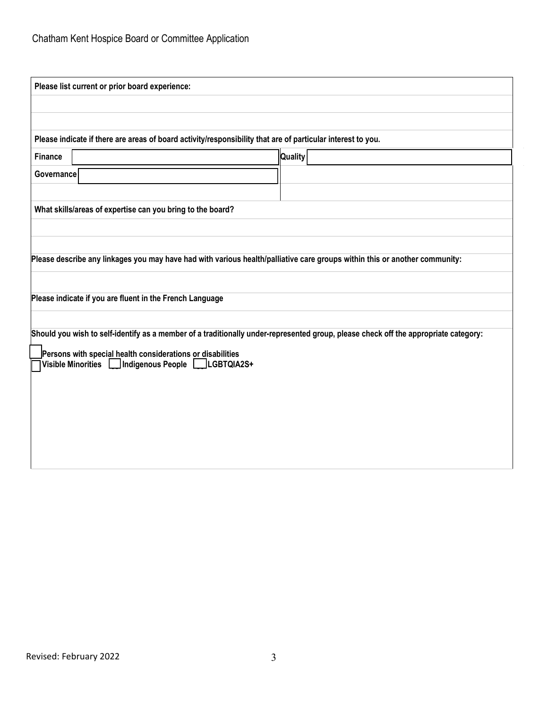| Please list current or prior board experience:                                                                                      |                |  |  |  |
|-------------------------------------------------------------------------------------------------------------------------------------|----------------|--|--|--|
|                                                                                                                                     |                |  |  |  |
|                                                                                                                                     |                |  |  |  |
| Please indicate if there are areas of board activity/responsibility that are of particular interest to you.                         |                |  |  |  |
| <b>Finance</b>                                                                                                                      | <b>Quality</b> |  |  |  |
| Governance                                                                                                                          |                |  |  |  |
|                                                                                                                                     |                |  |  |  |
| What skills/areas of expertise can you bring to the board?                                                                          |                |  |  |  |
|                                                                                                                                     |                |  |  |  |
|                                                                                                                                     |                |  |  |  |
| Please describe any linkages you may have had with various health/palliative care groups within this or another community:          |                |  |  |  |
|                                                                                                                                     |                |  |  |  |
| Please indicate if you are fluent in the French Language                                                                            |                |  |  |  |
|                                                                                                                                     |                |  |  |  |
| Should you wish to self-identify as a member of a traditionally under-represented group, please check off the appropriate category: |                |  |  |  |
| Persons with special health considerations or disabilities<br>Visible Minorities   Indigenous People   LGBTQIA2S+                   |                |  |  |  |
|                                                                                                                                     |                |  |  |  |
|                                                                                                                                     |                |  |  |  |
|                                                                                                                                     |                |  |  |  |
|                                                                                                                                     |                |  |  |  |
|                                                                                                                                     |                |  |  |  |
|                                                                                                                                     |                |  |  |  |